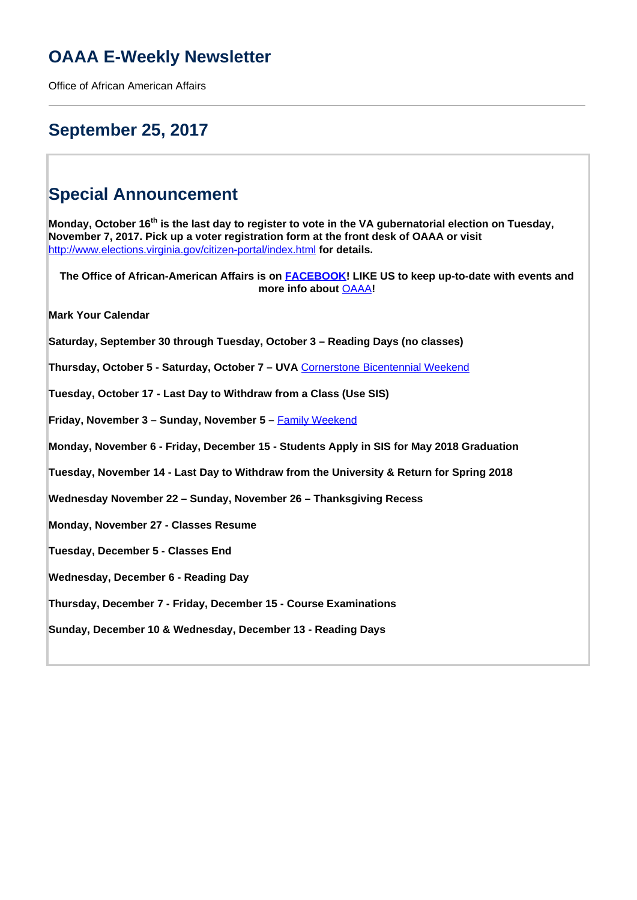# **OAAA E-Weekly Newsletter**

Office of African American Affairs

# **September 25, 2017**

# **Special Announcement**

**Monday, October 16th is the last day to register to vote in the VA gubernatorial election on Tuesday, November 7, 2017. Pick up a voter registration form at the front desk of OAAA or visit**  <http://www.elections.virginia.gov/citizen-portal/index.html> **for details.**

**The Office of African-American Affairs is on FACEBOOK! LIKE US to keep up-to-date with events and more info about** OAAA**! Mark Your Calendar Saturday, September 30 through Tuesday, October 3 – Reading Days (no classes) Thursday, October 5 - Saturday, October 7 – UVA** Cornerstone Bicentennial Weekend **Tuesday, October 17 - Last Day to Withdraw from a Class (Use SIS) Friday, November 3 – Sunday, November 5 – Family Weekend Monday, November 6 - Friday, December 15 - Students Apply in SIS for May 2018 Graduation Tuesday, November 14 - Last Day to Withdraw from the University & Return for Spring 2018 Wednesday November 22 – Sunday, November 26 – Thanksgiving Recess Monday, November 27 - Classes Resume Tuesday, December 5 - Classes End Wednesday, December 6 - Reading Day Thursday, December 7 - Friday, December 15 - Course Examinations Sunday, December 10 & Wednesday, December 13 - Reading Days**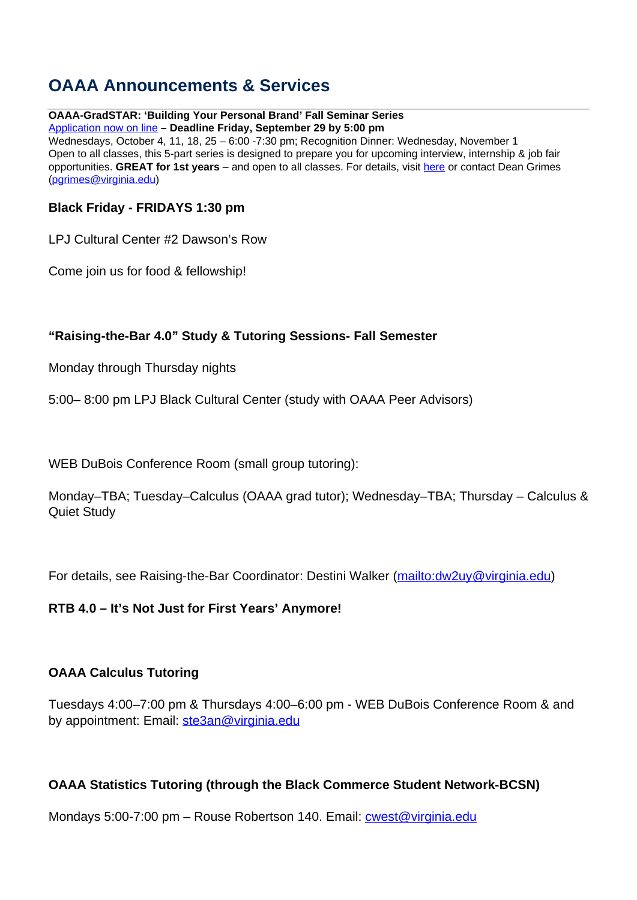# **OAAA Announcements & Services**

### **OAAA-GradSTAR: 'Building Your Personal Brand' Fall Seminar Series**

Application now on line **– Deadline Friday, September 29 by 5:00 pm** Wednesdays, October 4, 11, 18, 25 – 6:00 -7:30 pm; Recognition Dinner: Wednesday, November 1 Open to all classes, this 5-part series is designed to prepare you for upcoming interview, internship & job fair opportunities. **GREAT for 1st years** – and open to all classes. For details, visit here or contact Dean Grimes (pgrimes@virginia.edu)

### **Black Friday - FRIDAYS 1:30 pm**

LPJ Cultural Center #2 Dawson's Row

Come join us for food & fellowship!

### **"Raising-the-Bar 4.0" Study & Tutoring Sessions- Fall Semester**

Monday through Thursday nights

5:00– 8:00 pm LPJ Black Cultural Center (study with OAAA Peer Advisors)

WEB DuBois Conference Room (small group tutoring):

Monday–TBA; Tuesday–Calculus (OAAA grad tutor); Wednesday–TBA; Thursday – Calculus & Quiet Study

For details, see Raising-the-Bar Coordinator: Destini Walker (mailto: dw 2uy@virginia.edu)

### **RTB 4.0 – It's Not Just for First Years' Anymore!**

### **OAAA Calculus Tutoring**

Tuesdays 4:00–7:00 pm & Thursdays 4:00–6:00 pm - WEB DuBois Conference Room & and by appointment: Email: ste3an@virginia.edu

### **OAAA Statistics Tutoring (through the Black Commerce Student Network-BCSN)**

Mondays 5:00-7:00 pm – Rouse Robertson 140. Email: cwest@virginia.edu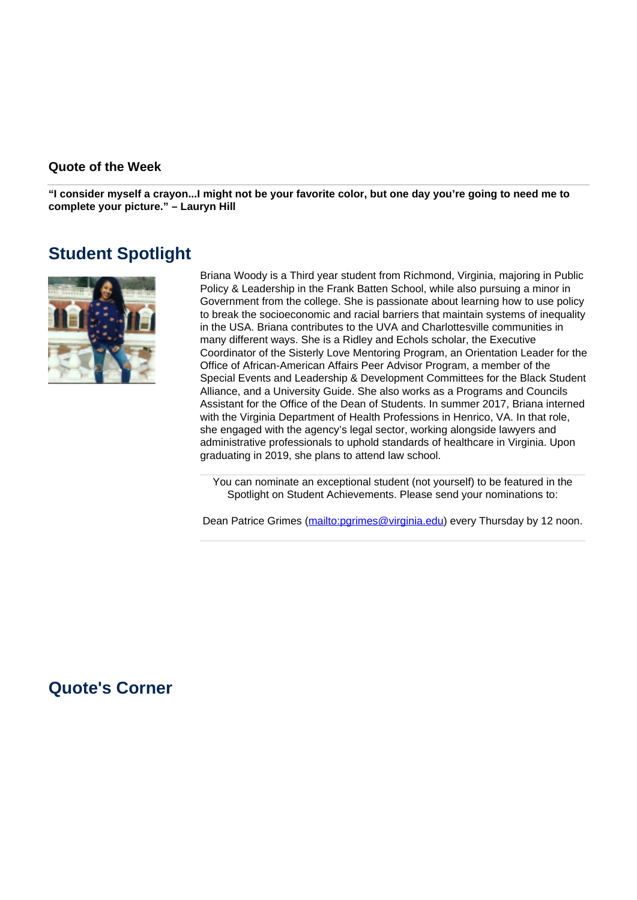#### **Quote of the Week**

**"I consider myself a crayon...I might not be your favorite color, but one day you're going to need me to complete your picture." – Lauryn Hill**

## **Student Spotlight**



Briana Woody is a Third year student from Richmond, Virginia, majoring in Public Policy & Leadership in the Frank Batten School, while also pursuing a minor in Government from the college. She is passionate about learning how to use policy to break the socioeconomic and racial barriers that maintain systems of inequality in the USA. Briana contributes to the UVA and Charlottesville communities in many different ways. She is a Ridley and Echols scholar, the Executive Coordinator of the Sisterly Love Mentoring Program, an Orientation Leader for the Office of African-American Affairs Peer Advisor Program, a member of the Special Events and Leadership & Development Committees for the Black Student Alliance, and a University Guide. She also works as a Programs and Councils Assistant for the Office of the Dean of Students. In summer 2017, Briana interned with the Virginia Department of Health Professions in Henrico, VA. In that role, she engaged with the agency's legal sector, working alongside lawyers and administrative professionals to uphold standards of healthcare in Virginia. Upon graduating in 2019, she plans to attend law school.

You can nominate an exceptional student (not yourself) to be featured in the Spotlight on Student Achievements. Please send your nominations to:

Dean Patrice Grimes (mailto:pgrimes@virginia.edu) every Thursday by 12 noon.

### **Quote's Corner**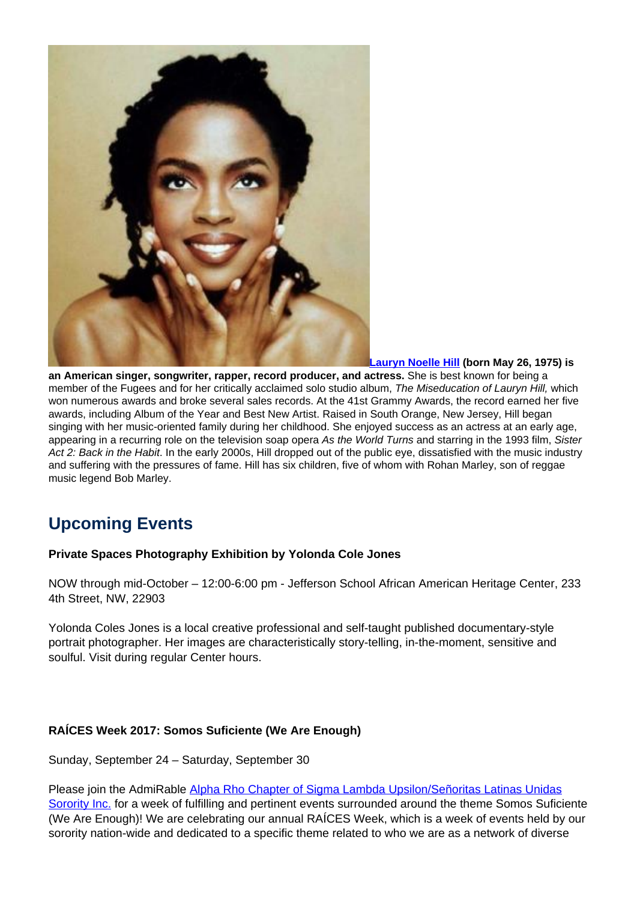

**Lauryn Noelle Hill (born May 26, 1975) is**

**an American singer, songwriter, rapper, record producer, and actress.** She is best known for being a member of the Fugees and for her critically acclaimed solo studio album, The Miseducation of Lauryn Hill, which won numerous awards and broke several sales records. At the 41st Grammy Awards, the record earned her five awards, including Album of the Year and Best New Artist. Raised in South Orange, New Jersey, Hill began singing with her music-oriented family during her childhood. She enjoyed success as an actress at an early age, appearing in a recurring role on the television soap opera As the World Turns and starring in the 1993 film. Sister Act 2: Back in the Habit. In the early 2000s, Hill dropped out of the public eye, dissatisfied with the music industry and suffering with the pressures of fame. Hill has six children, five of whom with Rohan Marley, son of reggae music legend Bob Marley.

# **Upcoming Events**

#### **Private Spaces Photography Exhibition by Yolonda Cole Jones**

NOW through mid-October – 12:00-6:00 pm - Jefferson School African American Heritage Center, 233 4th Street, NW, 22903

Yolonda Coles Jones is a local creative professional and self-taught published documentary-style portrait photographer. Her images are characteristically story-telling, in-the-moment, sensitive and soulful. Visit during regular Center hours.

#### **RAÍCES Week 2017: Somos Suficiente (We Are Enough)**

Sunday, September 24 – Saturday, September 30

Please join the AdmiRable Alpha Rho Chapter of Sigma Lambda Upsilon/Señoritas Latinas Unidas Sorority Inc. for a week of fulfilling and pertinent events surrounded around the theme Somos Suficiente (We Are Enough)! We are celebrating our annual RAÍCES Week, which is a week of events held by our sorority nation-wide and dedicated to a specific theme related to who we are as a network of diverse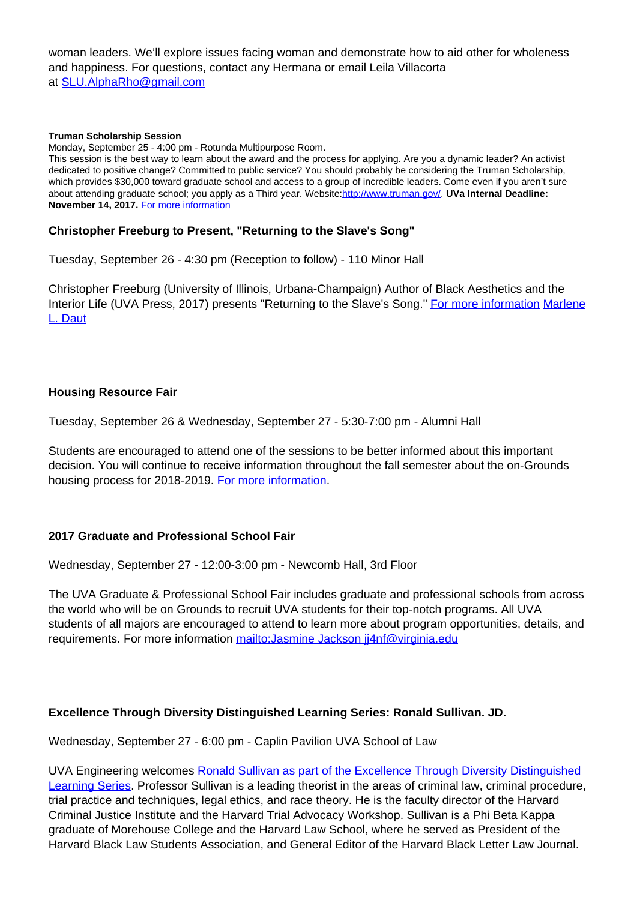woman leaders. We'll explore issues facing woman and demonstrate how to aid other for wholeness and happiness. For questions, contact any Hermana or email Leila Villacorta at SLU.AlphaRho@gmail.com

#### **Truman Scholarship Session**

Monday, September 25 - 4:00 pm - Rotunda Multipurpose Room.

This session is the best way to learn about the award and the process for applying. Are you a dynamic leader? An activist dedicated to positive change? Committed to public service? You should probably be considering the Truman Scholarship, which provides \$30,000 toward graduate school and access to a group of incredible leaders. Come even if you aren't sure about attending graduate school; you apply as a Third year. Website:http://www.truman.gov/. **UVa Internal Deadline: November 14, 2017.** For more information

#### **Christopher Freeburg to Present, "Returning to the Slave's Song"**

Tuesday, September 26 - 4:30 pm (Reception to follow) - 110 Minor Hall

Christopher Freeburg (University of Illinois, Urbana-Champaign) Author of Black Aesthetics and the Interior Life (UVA Press, 2017) presents "Returning to the Slave's Song." For more information Marlene L. Daut

#### **Housing Resource Fair**

Tuesday, September 26 & Wednesday, September 27 - 5:30-7:00 pm - Alumni Hall

Students are encouraged to attend one of the sessions to be better informed about this important decision. You will continue to receive information throughout the fall semester about the on-Grounds housing process for 2018-2019. For more information.

#### **2017 Graduate and Professional School Fair**

Wednesday, September 27 - 12:00-3:00 pm - Newcomb Hall, 3rd Floor

The UVA Graduate & Professional School Fair includes graduate and professional schools from across the world who will be on Grounds to recruit UVA students for their top-notch programs. All UVA students of all majors are encouraged to attend to learn more about program opportunities, details, and requirements. For more information mailto: Jasmine Jackson jj4nf@virginia.edu

#### **Excellence Through Diversity Distinguished Learning Series: Ronald Sullivan. JD.**

Wednesday, September 27 - 6:00 pm - Caplin Pavilion UVA School of Law

UVA Engineering welcomes Ronald Sullivan as part of the Excellence Through Diversity Distinguished Learning Series. Professor Sullivan is a leading theorist in the areas of criminal law, criminal procedure, trial practice and techniques, legal ethics, and race theory. He is the faculty director of the Harvard Criminal Justice Institute and the Harvard Trial Advocacy Workshop. Sullivan is a Phi Beta Kappa graduate of Morehouse College and the Harvard Law School, where he served as President of the Harvard Black Law Students Association, and General Editor of the Harvard Black Letter Law Journal.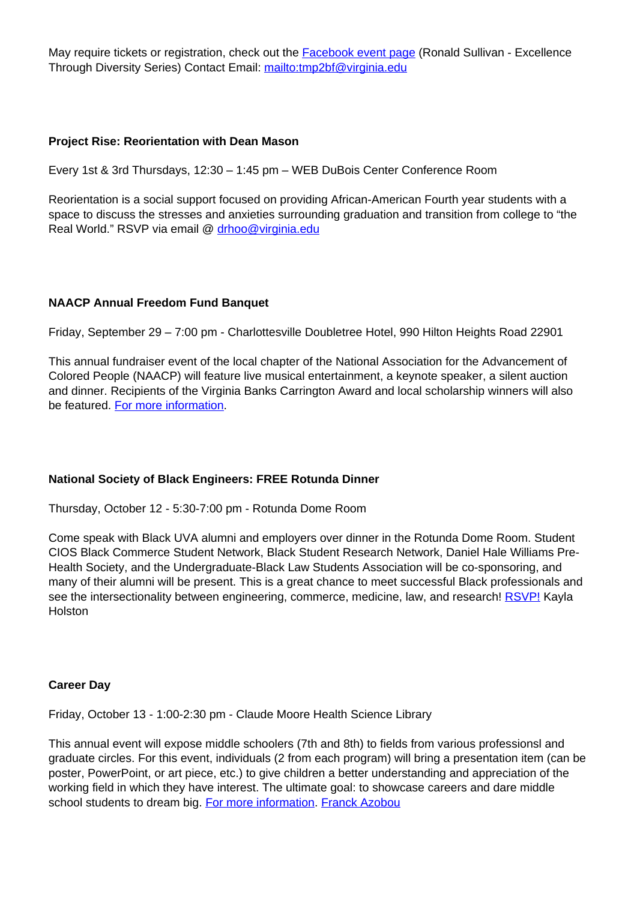May require tickets or registration, check out the **Facebook event page** (Ronald Sullivan - Excellence Through Diversity Series) Contact Email: mailto:tmp2bf@virginia.edu

#### **Project Rise: Reorientation with Dean Mason**

Every 1st & 3rd Thursdays, 12:30 – 1:45 pm – WEB DuBois Center Conference Room

Reorientation is a social support focused on providing African-American Fourth year students with a space to discuss the stresses and anxieties surrounding graduation and transition from college to "the Real World." RSVP via email @ drhoo@virginia.edu

#### **NAACP Annual Freedom Fund Banquet**

Friday, September 29 – 7:00 pm - Charlottesville Doubletree Hotel, 990 Hilton Heights Road 22901

This annual fundraiser event of the local chapter of the National Association for the Advancement of Colored People (NAACP) will feature live musical entertainment, a keynote speaker, a silent auction and dinner. Recipients of the Virginia Banks Carrington Award and local scholarship winners will also be featured. For more information.

#### **National Society of Black Engineers: FREE Rotunda Dinner**

Thursday, October 12 - 5:30-7:00 pm - Rotunda Dome Room

Come speak with Black UVA alumni and employers over dinner in the Rotunda Dome Room. Student CIOS Black Commerce Student Network, Black Student Research Network, Daniel Hale Williams Pre-Health Society, and the Undergraduate-Black Law Students Association will be co-sponsoring, and many of their alumni will be present. This is a great chance to meet successful Black professionals and see the intersectionality between engineering, commerce, medicine, law, and research! RSVP! Kayla **Holston** 

#### **Career Day**

Friday, October 13 - 1:00-2:30 pm - Claude Moore Health Science Library

This annual event will expose middle schoolers (7th and 8th) to fields from various professionsl and graduate circles. For this event, individuals (2 from each program) will bring a presentation item (can be poster, PowerPoint, or art piece, etc.) to give children a better understanding and appreciation of the working field in which they have interest. The ultimate goal: to showcase careers and dare middle school students to dream big. For more information. Franck Azobou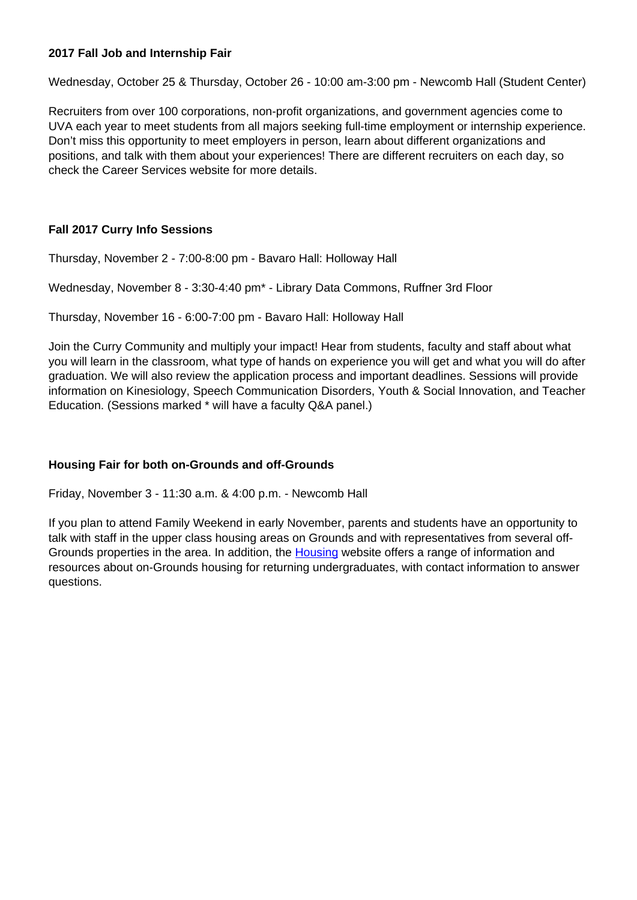#### **2017 Fall Job and Internship Fair**

Wednesday, October 25 & Thursday, October 26 - 10:00 am-3:00 pm - Newcomb Hall (Student Center)

Recruiters from over 100 corporations, non-profit organizations, and government agencies come to UVA each year to meet students from all majors seeking full-time employment or internship experience. Don't miss this opportunity to meet employers in person, learn about different organizations and positions, and talk with them about your experiences! There are different recruiters on each day, so check the Career Services website for more details.

#### **Fall 2017 Curry Info Sessions**

Thursday, November 2 - 7:00-8:00 pm - Bavaro Hall: Holloway Hall

Wednesday, November 8 - 3:30-4:40 pm\* - Library Data Commons, Ruffner 3rd Floor

Thursday, November 16 - 6:00-7:00 pm - Bavaro Hall: Holloway Hall

Join the Curry Community and multiply your impact! Hear from students, faculty and staff about what you will learn in the classroom, what type of hands on experience you will get and what you will do after graduation. We will also review the application process and important deadlines. Sessions will provide information on Kinesiology, Speech Communication Disorders, Youth & Social Innovation, and Teacher Education. (Sessions marked \* will have a faculty Q&A panel.)

#### **Housing Fair for both on-Grounds and off-Grounds**

Friday, November 3 - 11:30 a.m. & 4:00 p.m. - Newcomb Hall

If you plan to attend Family Weekend in early November, parents and students have an opportunity to talk with staff in the upper class housing areas on Grounds and with representatives from several off-Grounds properties in the area. In addition, the **Housing** website offers a range of information and resources about on-Grounds housing for returning undergraduates, with contact information to answer questions.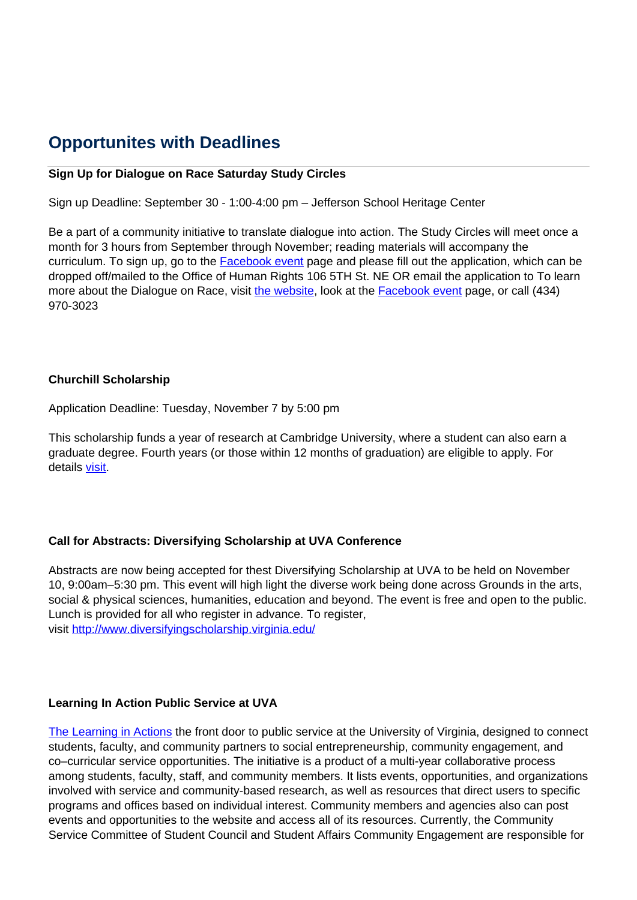# **Opportunites with Deadlines**

#### **Sign Up for Dialogue on Race Saturday Study Circles**

Sign up Deadline: September 30 - 1:00-4:00 pm – Jefferson School Heritage Center

Be a part of a community initiative to translate dialogue into action. The Study Circles will meet once a month for 3 hours from September through November; reading materials will accompany the curriculum. To sign up, go to the **Facebook event** page and please fill out the application, which can be dropped off/mailed to the Office of Human Rights 106 5TH St. NE OR email the application to To learn more about the Dialogue on Race, visit the website, look at the Facebook event page, or call (434) 970-3023

#### **Churchill Scholarship**

Application Deadline: Tuesday, November 7 by 5:00 pm

This scholarship funds a year of research at Cambridge University, where a student can also earn a graduate degree. Fourth years (or those within 12 months of graduation) are eligible to apply. For details visit.

#### **Call for Abstracts: Diversifying Scholarship at UVA Conference**

Abstracts are now being accepted for thest Diversifying Scholarship at UVA to be held on November 10, 9:00am–5:30 pm. This event will high light the diverse work being done across Grounds in the arts, social & physical sciences, humanities, education and beyond. The event is free and open to the public. Lunch is provided for all who register in advance. To register, visit http://www.diversifyingscholarship.virginia.edu/

#### **Learning In Action Public Service at UVA**

The Learning in Actions the front door to public service at the University of Virginia, designed to connect students, faculty, and community partners to social entrepreneurship, community engagement, and co–curricular service opportunities. The initiative is a product of a multi-year collaborative process among students, faculty, staff, and community members. It lists events, opportunities, and organizations involved with service and community-based research, as well as resources that direct users to specific programs and offices based on individual interest. Community members and agencies also can post events and opportunities to the website and access all of its resources. Currently, the Community Service Committee of Student Council and Student Affairs Community Engagement are responsible for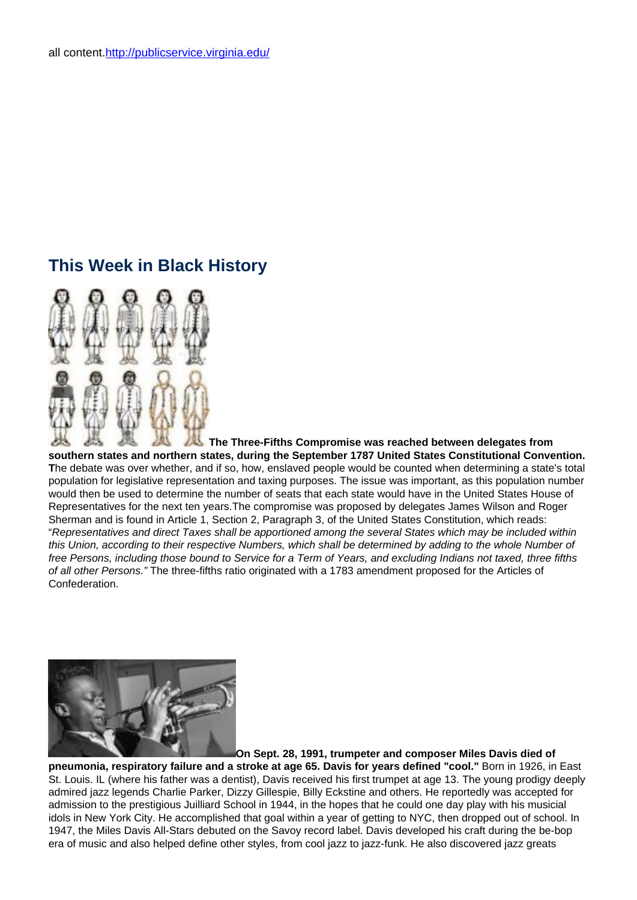# **This Week in Black History**



**The Three-Fifths Compromise was reached between delegates from southern states and northern states, during the September 1787 United States Constitutional Convention. T**he debate was over whether, and if so, how, enslaved people would be counted when determining a state's total population for legislative representation and taxing purposes. The issue was important, as this population number would then be used to determine the number of seats that each state would have in the United States House of Representatives for the next ten years.The compromise was proposed by delegates James Wilson and Roger Sherman and is found in Article 1, Section 2, Paragraph 3, of the United States Constitution, which reads: "Representatives and direct Taxes shall be apportioned among the several States which may be included within this Union, according to their respective Numbers, which shall be determined by adding to the whole Number of free Persons, including those bound to Service for a Term of Years, and excluding Indians not taxed, three fifths of all other Persons." The three-fifths ratio originated with a 1783 amendment proposed for the Articles of Confederation.



**On Sept. 28, 1991, trumpeter and composer Miles Davis died of**

**pneumonia, respiratory failure and a stroke at age 65. Davis for years defined "cool."** Born in 1926, in East St. Louis. IL (where his father was a dentist), Davis received his first trumpet at age 13. The young prodigy deeply admired jazz legends Charlie Parker, Dizzy Gillespie, Billy Eckstine and others. He reportedly was accepted for admission to the prestigious Juilliard School in 1944, in the hopes that he could one day play with his musicial idols in New York City. He accomplished that goal within a year of getting to NYC, then dropped out of school. In 1947, the Miles Davis All-Stars debuted on the Savoy record label. Davis developed his craft during the be-bop era of music and also helped define other styles, from cool jazz to jazz-funk. He also discovered jazz greats